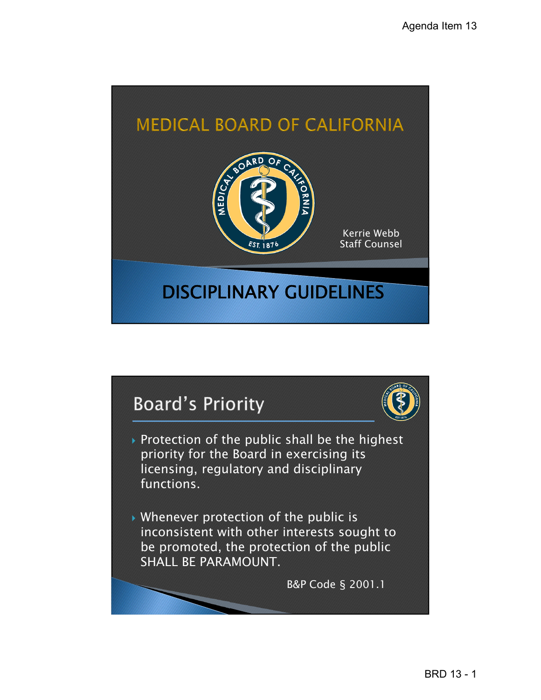

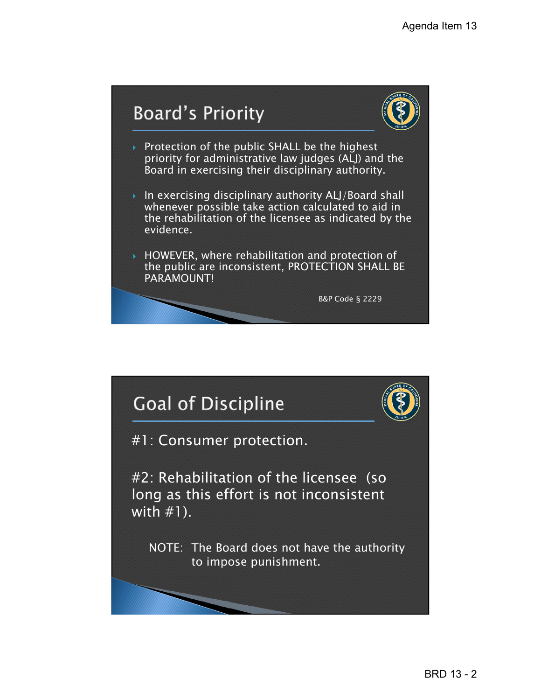



- Protection of the public SHALL be the highest priority for administrative law judges (ALJ) and the Board in exercising their disciplinary authority.
- In exercising disciplinary authority ALJ/Board shall whenever possible take action calculated to aid in the rehabilitation of the licensee as indicated by the evidence.
- HOWEVER, where rehabilitation and protection of the public are inconsistent, PROTECTION SHALL BE PARAMOUNT!

B&P Code § 2229

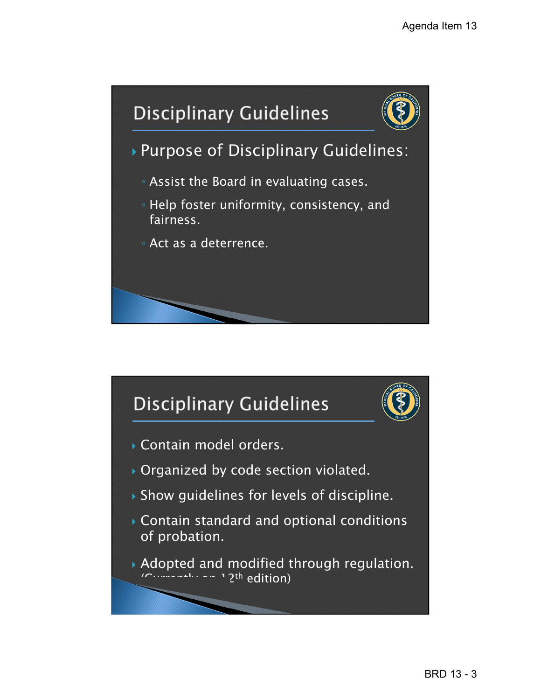

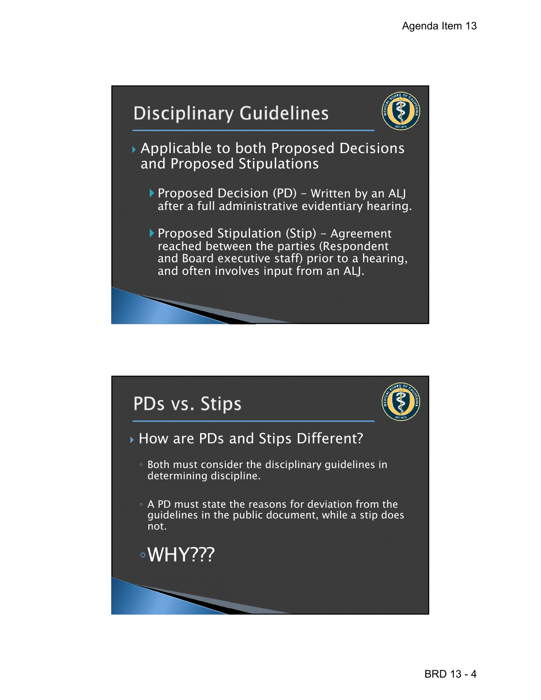## **Disciplinary Guidelines**



 Applicable to both Proposed Decisions and Proposed Stipulations

- Proposed Decision (PD) Written by an ALJ after a full administrative evidentiary hearing.
- Proposed Stipulation (Stip) Agreement reached between the parties (Respondent and Board executive staff) prior to a hearing, and often involves input from an ALJ.

# PDs vs. Stips



#### How are PDs and Stips Different?

◦ Both must consider the disciplinary guidelines in determining discipline.

◦ A PD must state the reasons for deviation from the guidelines in the public document, while a stip does not.

## ◦WHY???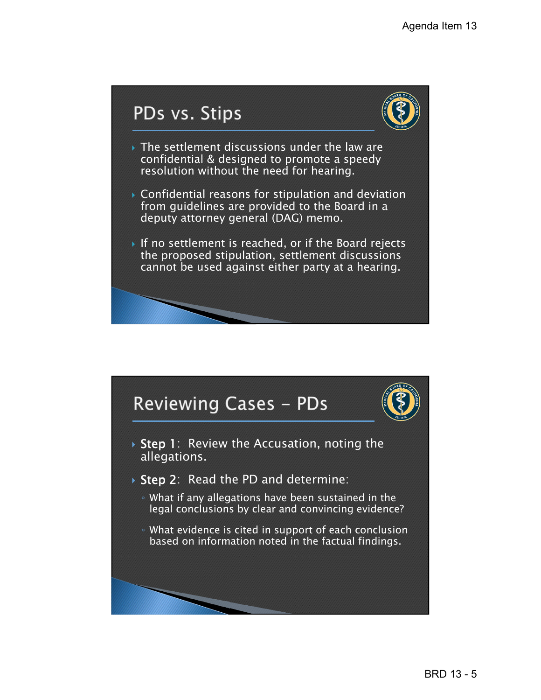### PDs vs. Stips



- The settlement discussions under the law are confidential & designed to promote a speedy resolution without the need for hearing.
- Confidential reasons for stipulation and deviation from guidelines are provided to the Board in a deputy attorney general (DAG) memo.
- If no settlement is reached, or if the Board rejects the proposed stipulation, settlement discussions cannot be used against either party at a hearing.





- $\rightarrow$  Step 1: Review the Accusation, noting the allegations.
- ▶ Step 2: Read the PD and determine:
	- What if any allegations have been sustained in the legal conclusions by clear and convincing evidence?
	- What evidence is cited in support of each conclusion based on information noted in the factual findings.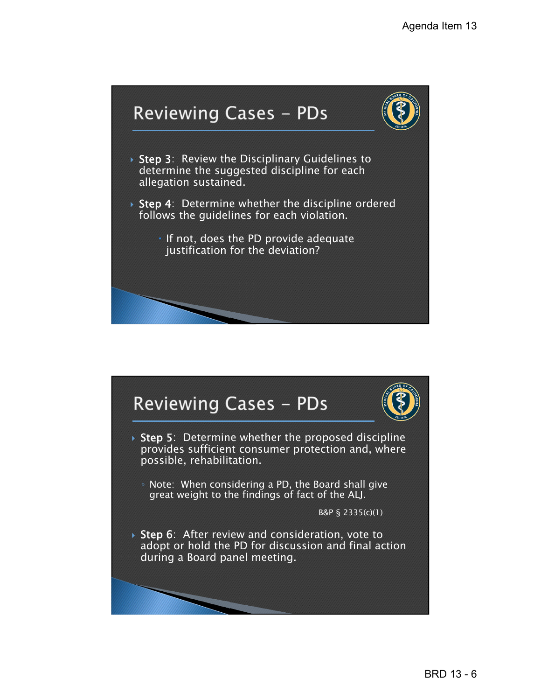

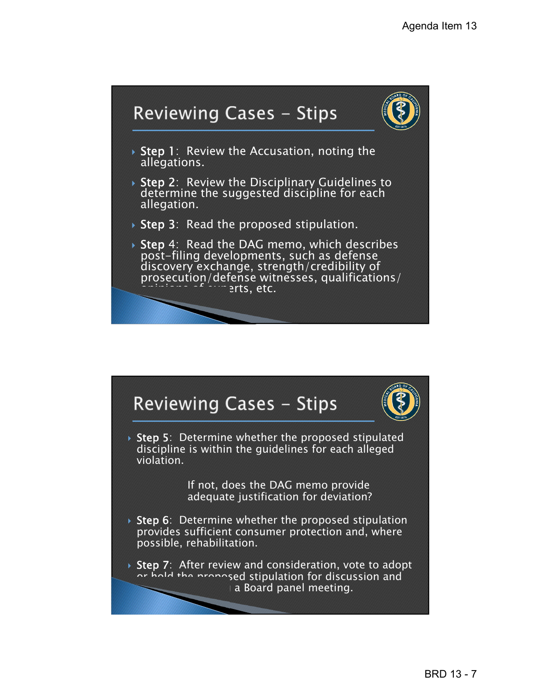

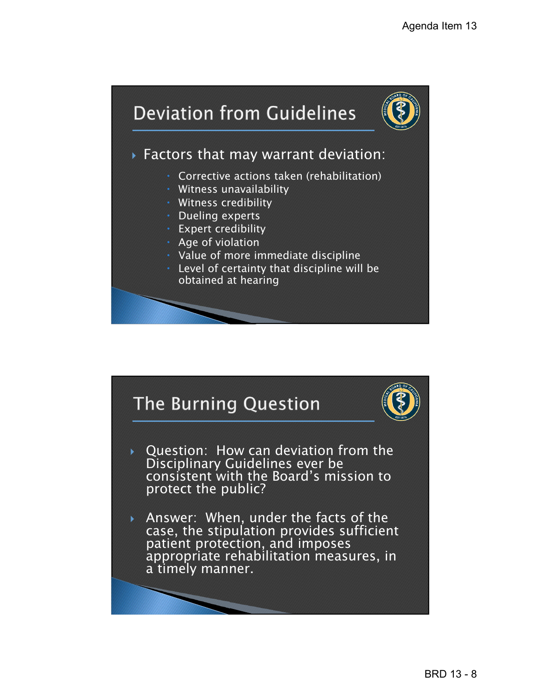